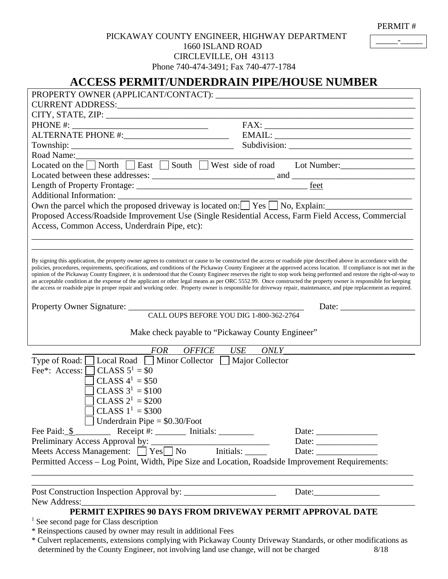PERMIT #

\_\_\_\_\_-\_\_\_\_\_

## PICKAWAY COUNTY ENGINEER, HIGHWAY DEPARTMENT 1660 ISLAND ROAD CIRCLEVILLE, OH 43113

Phone 740-474-3491; Fax 740-477-1784

# **ACCESS PERMIT/UNDERDRAIN PIPE/HOUSE NUMBER**

|                                                                                                                                                                                                                                                                                                                                                                                                                                                                                                                                                                                                                                                                                                                                                                                                                                                        | $\text{EMAIL:}\underbrace{\hspace{2cm}}$                 |
|--------------------------------------------------------------------------------------------------------------------------------------------------------------------------------------------------------------------------------------------------------------------------------------------------------------------------------------------------------------------------------------------------------------------------------------------------------------------------------------------------------------------------------------------------------------------------------------------------------------------------------------------------------------------------------------------------------------------------------------------------------------------------------------------------------------------------------------------------------|----------------------------------------------------------|
|                                                                                                                                                                                                                                                                                                                                                                                                                                                                                                                                                                                                                                                                                                                                                                                                                                                        |                                                          |
| Road Name:<br>Located on the North Seast South West side of road Lot Number:                                                                                                                                                                                                                                                                                                                                                                                                                                                                                                                                                                                                                                                                                                                                                                           |                                                          |
|                                                                                                                                                                                                                                                                                                                                                                                                                                                                                                                                                                                                                                                                                                                                                                                                                                                        |                                                          |
|                                                                                                                                                                                                                                                                                                                                                                                                                                                                                                                                                                                                                                                                                                                                                                                                                                                        |                                                          |
|                                                                                                                                                                                                                                                                                                                                                                                                                                                                                                                                                                                                                                                                                                                                                                                                                                                        |                                                          |
|                                                                                                                                                                                                                                                                                                                                                                                                                                                                                                                                                                                                                                                                                                                                                                                                                                                        |                                                          |
| Own the parcel which the proposed driveway is located on: $\Box$ Yes $\Box$ No, Explain:                                                                                                                                                                                                                                                                                                                                                                                                                                                                                                                                                                                                                                                                                                                                                               |                                                          |
| Proposed Access/Roadside Improvement Use (Single Residential Access, Farm Field Access, Commercial                                                                                                                                                                                                                                                                                                                                                                                                                                                                                                                                                                                                                                                                                                                                                     |                                                          |
| Access, Common Access, Underdrain Pipe, etc):                                                                                                                                                                                                                                                                                                                                                                                                                                                                                                                                                                                                                                                                                                                                                                                                          |                                                          |
|                                                                                                                                                                                                                                                                                                                                                                                                                                                                                                                                                                                                                                                                                                                                                                                                                                                        |                                                          |
|                                                                                                                                                                                                                                                                                                                                                                                                                                                                                                                                                                                                                                                                                                                                                                                                                                                        |                                                          |
| By signing this application, the property owner agrees to construct or cause to be constructed the access or roadside pipe described above in accordance with the<br>policies, procedures, requirements, specifications, and conditions of the Pickaway County Engineer at the approved access location. If compliance is not met in the<br>opinion of the Pickaway County Engineer, it is understood that the County Engineer reserves the right to stop work being performed and restore the right-of-way to<br>an acceptable condition at the expense of the applicant or other legal means as per ORC 5552.99. Once constructed the property owner is responsible for keeping<br>the access or roadside pipe in proper repair and working order. Property owner is responsible for driveway repair, maintenance, and pipe replacement as required. |                                                          |
|                                                                                                                                                                                                                                                                                                                                                                                                                                                                                                                                                                                                                                                                                                                                                                                                                                                        | Date: $\frac{1}{\sqrt{1-\frac{1}{2}} \cdot \frac{1}{2}}$ |
| CALL OUPS BEFORE YOU DIG 1-800-362-2764                                                                                                                                                                                                                                                                                                                                                                                                                                                                                                                                                                                                                                                                                                                                                                                                                |                                                          |
| Make check payable to "Pickaway County Engineer"                                                                                                                                                                                                                                                                                                                                                                                                                                                                                                                                                                                                                                                                                                                                                                                                       |                                                          |
| <b>OFFICE</b><br>ONLY<br><b>FOR</b><br>USE                                                                                                                                                                                                                                                                                                                                                                                                                                                                                                                                                                                                                                                                                                                                                                                                             |                                                          |
| Type of Road: $\Box$ Local Road $\Box$ Minor Collector $\Box$<br>Major Collector<br>CLASS $5^1 = $0$<br>Fee <sup>*</sup> : Access: $\Box$<br>CLASS $4^1 = $50$<br>CLASS $3^1 = $100$<br>CLASS $2^1 = $200$<br>CLASS $1^1$ = \$300<br>Underdrain Pipe $=$ \$0.30/Foot                                                                                                                                                                                                                                                                                                                                                                                                                                                                                                                                                                                   |                                                          |
|                                                                                                                                                                                                                                                                                                                                                                                                                                                                                                                                                                                                                                                                                                                                                                                                                                                        | Date: $\frac{1}{\sqrt{1-\frac{1}{2}} \cdot \frac{1}{2}}$ |
|                                                                                                                                                                                                                                                                                                                                                                                                                                                                                                                                                                                                                                                                                                                                                                                                                                                        |                                                          |
| Preliminary Access Approval by:<br>Meets Access Management: □ Yes□ No Initials: ______                                                                                                                                                                                                                                                                                                                                                                                                                                                                                                                                                                                                                                                                                                                                                                 | Date:                                                    |
| Permitted Access - Log Point, Width, Pipe Size and Location, Roadside Improvement Requirements:                                                                                                                                                                                                                                                                                                                                                                                                                                                                                                                                                                                                                                                                                                                                                        |                                                          |
| New Address:<br>PERMIT EXPIRES 90 DAYS FROM DRIVEWAY PERMIT APPROVAL DATE                                                                                                                                                                                                                                                                                                                                                                                                                                                                                                                                                                                                                                                                                                                                                                              | Date:                                                    |
| <sup>1</sup> See second page for Class description                                                                                                                                                                                                                                                                                                                                                                                                                                                                                                                                                                                                                                                                                                                                                                                                     |                                                          |
| * Reinspections caused by owner may result in additional Fees                                                                                                                                                                                                                                                                                                                                                                                                                                                                                                                                                                                                                                                                                                                                                                                          |                                                          |

\* Culvert replacements, extensions complying with Pickaway County Driveway Standards, or other modifications as determined by the County Engineer, not involving land use change, will not be charged 8/18